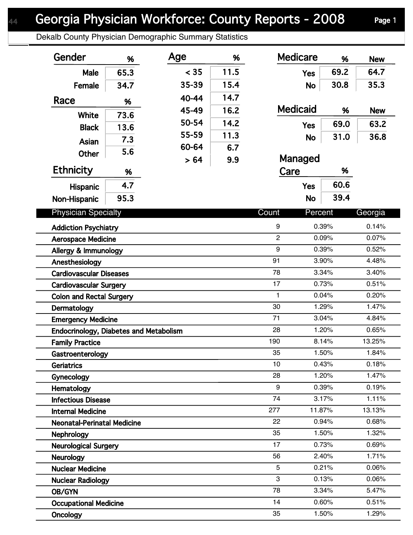Dekalb County Physician Demographic Summary Statistics

| Gender                                 | %    | Age   | %    | <b>Medicare</b> |           | %    | <b>New</b> |
|----------------------------------------|------|-------|------|-----------------|-----------|------|------------|
| Male                                   | 65.3 | < 35  | 11.5 | <b>Yes</b>      |           | 69.2 | 64.7       |
| Female                                 | 34.7 | 35-39 | 15.4 |                 | <b>No</b> | 30.8 | 35.3       |
|                                        |      | 40-44 | 14.7 |                 |           |      |            |
| Race                                   | %    | 45-49 | 16.2 | <b>Medicaid</b> |           | %    | <b>New</b> |
| <b>White</b>                           | 73.6 | 50-54 | 14.2 |                 |           |      |            |
| <b>Black</b>                           | 13.6 | 55-59 | 11.3 | <b>Yes</b>      |           | 69.0 | 63.2       |
| Asian                                  | 7.3  | 60-64 |      |                 | <b>No</b> | 31.0 | 36.8       |
| <b>Other</b>                           | 5.6  |       | 6.7  | Managed         |           |      |            |
| <b>Ethnicity</b>                       | %    | > 64  | 9.9  | Care            |           | %    |            |
|                                        | 4.7  |       |      |                 |           | 60.6 |            |
| <b>Hispanic</b>                        |      |       |      | <b>Yes</b>      |           |      |            |
| Non-Hispanic                           | 95.3 |       |      |                 | <b>No</b> | 39.4 |            |
| <b>Physician Specialty</b>             |      |       |      | Count           | Percent   |      | Georgia    |
| <b>Addiction Psychiatry</b>            |      |       |      | 9               | 0.39%     |      | 0.14%      |
| <b>Aerospace Medicine</b>              |      |       |      | $\overline{2}$  | 0.09%     |      | 0.07%      |
| Allergy & Immunology                   |      |       |      | 9               | 0.39%     |      | 0.52%      |
| Anesthesiology                         |      |       |      | 91              | 3.90%     |      | 4.48%      |
| <b>Cardiovascular Diseases</b>         |      |       |      | 78              | 3.34%     |      | 3.40%      |
| <b>Cardiovascular Surgery</b>          |      |       |      | 17              | 0.73%     |      | 0.51%      |
| <b>Colon and Rectal Surgery</b>        |      |       |      | $\mathbf{1}$    | 0.04%     |      | 0.20%      |
| Dermatology                            |      |       |      | 30              | 1.29%     |      | 1.47%      |
| <b>Emergency Medicine</b>              |      |       |      | 71              | 3.04%     |      | 4.84%      |
| Endocrinology, Diabetes and Metabolism |      |       |      | 28              | 1.20%     |      | 0.65%      |
| <b>Family Practice</b>                 |      |       |      | 190             | 8.14%     |      | 13.25%     |
| Gastroenterology                       |      |       |      | 35              | 1.50%     |      | 1.84%      |
| <b>Geriatrics</b>                      |      |       |      | 10              | 0.43%     |      | 0.18%      |
| Gynecology                             |      |       |      | 28              | 1.20%     |      | 1.47%      |
| Hematology                             |      |       |      | 9               | 0.39%     |      | 0.19%      |
| <b>Infectious Disease</b>              |      |       |      | 74              | 3.17%     |      | 1.11%      |
| <b>Internal Medicine</b>               |      |       |      | 277             | 11.87%    |      | 13.13%     |
| <b>Neonatal-Perinatal Medicine</b>     |      |       |      | 22              | 0.94%     |      | 0.68%      |
| Nephrology                             |      |       |      | 35              | 1.50%     |      | 1.32%      |
| <b>Neurological Surgery</b>            |      |       |      | 17              | 0.73%     |      | 0.69%      |
| Neurology                              |      |       |      | 56              | 2.40%     |      | 1.71%      |
| <b>Nuclear Medicine</b>                |      |       |      | $\overline{5}$  | 0.21%     |      | 0.06%      |
| <b>Nuclear Radiology</b>               |      |       |      | 3               | 0.13%     |      | 0.06%      |
| OB/GYN                                 |      |       |      | 78              | 3.34%     |      | 5.47%      |
| <b>Occupational Medicine</b>           |      |       |      | 14              | 0.60%     |      | 0.51%      |
| Oncology                               |      |       |      | 35              | 1.50%     |      | 1.29%      |